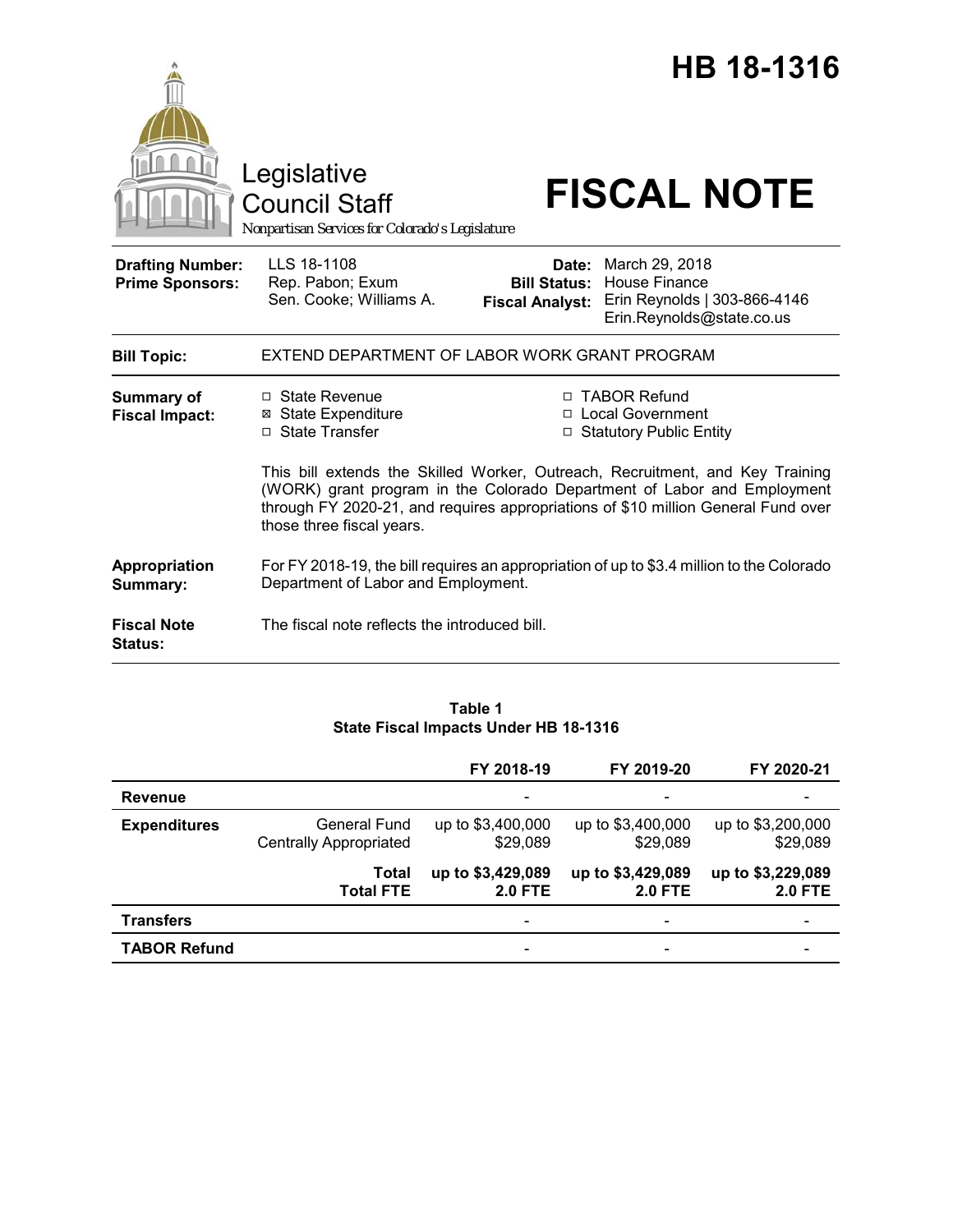|                                                   | Legislative<br><b>Council Staff</b><br>Nonpartisan Services for Colorado's Legislature                                                                                                    |                        | HB 18-1316<br><b>FISCAL NOTE</b>                                                                                                                   |  |
|---------------------------------------------------|-------------------------------------------------------------------------------------------------------------------------------------------------------------------------------------------|------------------------|----------------------------------------------------------------------------------------------------------------------------------------------------|--|
| <b>Drafting Number:</b><br><b>Prime Sponsors:</b> | LLS 18-1108<br>Rep. Pabon; Exum<br>Sen. Cooke; Williams A.                                                                                                                                | <b>Fiscal Analyst:</b> | <b>Date:</b> March 29, 2018<br><b>Bill Status: House Finance</b><br>Erin Reynolds   303-866-4146<br>Erin.Reynolds@state.co.us                      |  |
| <b>Bill Topic:</b>                                | EXTEND DEPARTMENT OF LABOR WORK GRANT PROGRAM                                                                                                                                             |                        |                                                                                                                                                    |  |
| <b>Summary of</b><br><b>Fiscal Impact:</b>        | $\Box$ State Revenue<br><b>⊠ State Expenditure</b><br>□ State Transfer                                                                                                                    |                        | □ TABOR Refund<br>□ Local Government<br>□ Statutory Public Entity<br>This bill extends the Skilled Worker, Outreach, Recruitment, and Key Training |  |
|                                                   | (WORK) grant program in the Colorado Department of Labor and Employment<br>through FY 2020-21, and requires appropriations of \$10 million General Fund over<br>those three fiscal years. |                        |                                                                                                                                                    |  |
| Appropriation<br>Summary:                         | For FY 2018-19, the bill requires an appropriation of up to \$3.4 million to the Colorado<br>Department of Labor and Employment.                                                          |                        |                                                                                                                                                    |  |
| <b>Fiscal Note</b><br><b>Status:</b>              | The fiscal note reflects the introduced bill.                                                                                                                                             |                        |                                                                                                                                                    |  |

# **Table 1 State Fiscal Impacts Under HB 18-1316**

|                     |                                               | FY 2018-19                          | FY 2019-20                          | FY 2020-21                          |
|---------------------|-----------------------------------------------|-------------------------------------|-------------------------------------|-------------------------------------|
| <b>Revenue</b>      |                                               | -                                   | $\overline{\phantom{0}}$            | $\overline{\phantom{0}}$            |
| <b>Expenditures</b> | General Fund<br><b>Centrally Appropriated</b> | up to \$3,400,000<br>\$29,089       | up to \$3,400,000<br>\$29,089       | up to \$3,200,000<br>\$29,089       |
|                     | Total<br><b>Total FTE</b>                     | up to \$3,429,089<br><b>2.0 FTE</b> | up to \$3,429,089<br><b>2.0 FTE</b> | up to \$3,229,089<br><b>2.0 FTE</b> |
| <b>Transfers</b>    |                                               | $\qquad \qquad \blacksquare$        | -                                   |                                     |
| <b>TABOR Refund</b> |                                               | -                                   |                                     |                                     |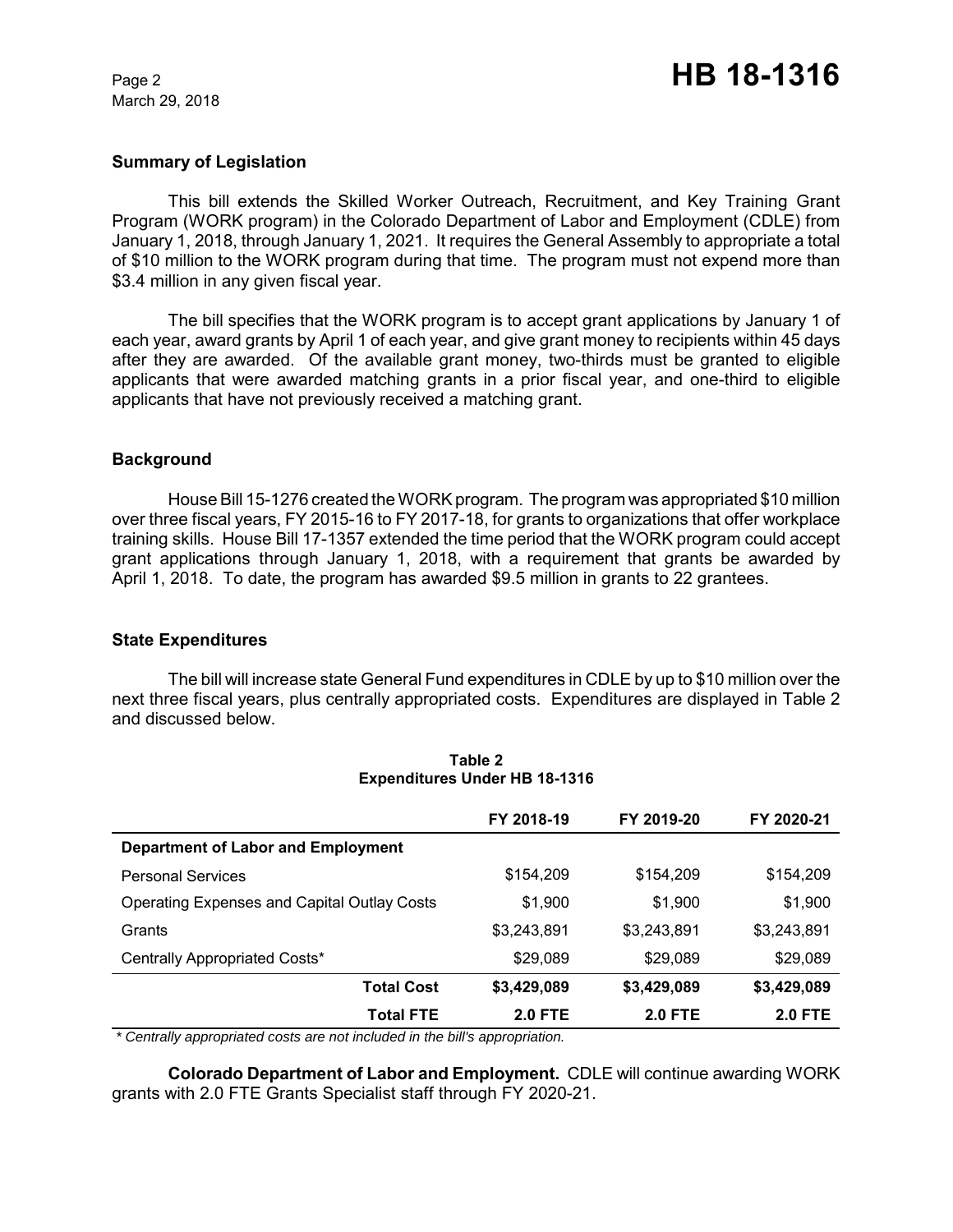March 29, 2018

## **Summary of Legislation**

This bill extends the Skilled Worker Outreach, Recruitment, and Key Training Grant Program (WORK program) in the Colorado Department of Labor and Employment (CDLE) from January 1, 2018, through January 1, 2021. It requires the General Assembly to appropriate a total of \$10 million to the WORK program during that time. The program must not expend more than \$3.4 million in any given fiscal year.

The bill specifies that the WORK program is to accept grant applications by January 1 of each year, award grants by April 1 of each year, and give grant money to recipients within 45 days after they are awarded. Of the available grant money, two-thirds must be granted to eligible applicants that were awarded matching grants in a prior fiscal year, and one-third to eligible applicants that have not previously received a matching grant.

#### **Background**

House Bill 15-1276 created the WORK program. The program was appropriated \$10 million over three fiscal years, FY 2015-16 to FY 2017-18, for grants to organizations that offer workplace training skills. House Bill 17-1357 extended the time period that the WORK program could accept grant applications through January 1, 2018, with a requirement that grants be awarded by April 1, 2018. To date, the program has awarded \$9.5 million in grants to 22 grantees.

#### **State Expenditures**

The bill will increase state General Fund expenditures in CDLE by up to \$10 million over the next three fiscal years, plus centrally appropriated costs. Expenditures are displayed in Table 2 and discussed below.

|                                                    | FY 2018-19     | FY 2019-20     | FY 2020-21     |
|----------------------------------------------------|----------------|----------------|----------------|
| <b>Department of Labor and Employment</b>          |                |                |                |
| <b>Personal Services</b>                           | \$154,209      | \$154.209      | \$154,209      |
| <b>Operating Expenses and Capital Outlay Costs</b> | \$1,900        | \$1,900        | \$1,900        |
| Grants                                             | \$3,243,891    | \$3,243,891    | \$3,243,891    |
| Centrally Appropriated Costs*                      | \$29,089       | \$29,089       | \$29,089       |
| <b>Total Cost</b>                                  | \$3,429,089    | \$3,429,089    | \$3,429,089    |
| <b>Total FTE</b>                                   | <b>2.0 FTE</b> | <b>2.0 FTE</b> | <b>2.0 FTE</b> |

#### **Table 2 Expenditures Under HB 18-1316**

 *\* Centrally appropriated costs are not included in the bill's appropriation.*

**Colorado Department of Labor and Employment.** CDLE will continue awarding WORK grants with 2.0 FTE Grants Specialist staff through FY 2020-21.